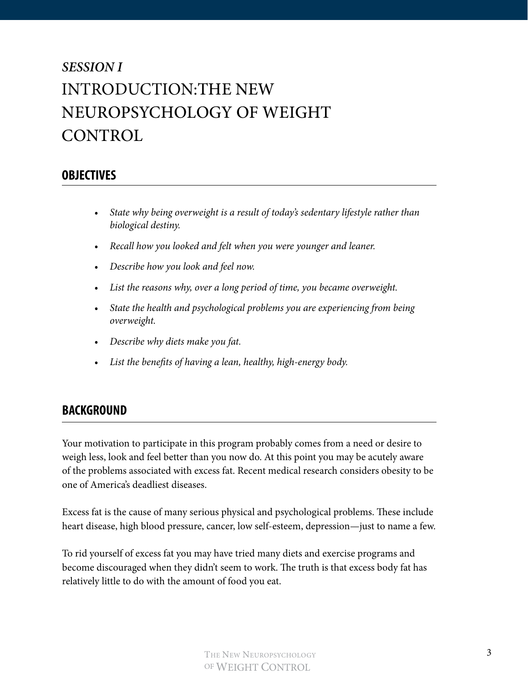# *SESSION I*  INTRODUCTION:THE NEW NEUROPSYCHOLOGY OF WEIGHT **CONTROL**

### **OBJECTIVES**

- *• State why being overweight is a result of today's sedentary lifestyle rather than biological destiny.*
- *• Recall how you looked and felt when you were younger and leaner.*
- *• Describe how you look and feel now.*
- *• List the reasons why, over a long period of time, you became overweight.*
- *• State the health and psychological problems you are experiencing from being overweight.*
- *• Describe why diets make you fat.*
- *• List the benefits of having a lean, healthy, high-energy body.*

#### **BACKGROUND**

Your motivation to participate in this program probably comes from a need or desire to weigh less, look and feel better than you now do. At this point you may be acutely aware of the problems associated with excess fat. Recent medical research considers obesity to be one of America's deadliest diseases.

Excess fat is the cause of many serious physical and psychological problems. These include heart disease, high blood pressure, cancer, low self-esteem, depression—just to name a few.

To rid yourself of excess fat you may have tried many diets and exercise programs and become discouraged when they didn't seem to work. The truth is that excess body fat has relatively little to do with the amount of food you eat.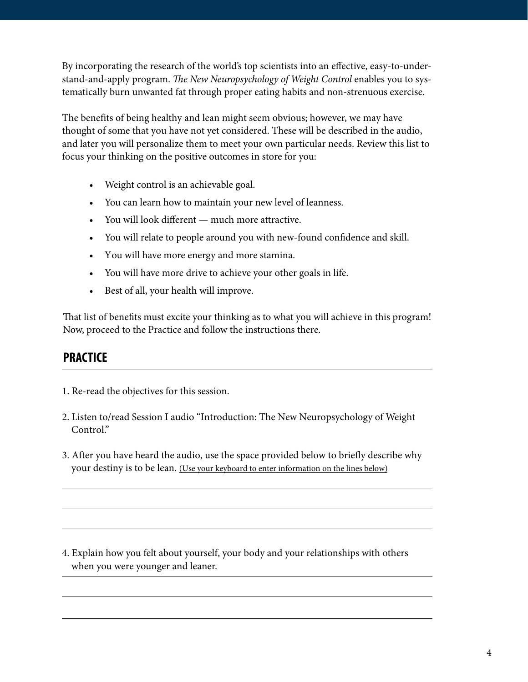By incorporating the research of the world's top scientists into an effective, easy-to-understand-and-apply program. *The New Neuropsychology of Weight Control* enables you to systematically burn unwanted fat through proper eating habits and non-strenuous exercise.

The benefits of being healthy and lean might seem obvious; however, we may have thought of some that you have not yet considered. These will be described in the audio, and later you will personalize them to meet your own particular needs. Review this list to focus your thinking on the positive outcomes in store for you:

- Weight control is an achievable goal.
- You can learn how to maintain your new level of leanness.
- You will look different much more attractive.
- You will relate to people around you with new-found confidence and skill.
- You will have more energy and more stamina.
- You will have more drive to achieve your other goals in life.
- Best of all, your health will improve.

That list of benefits must excite your thinking as to what you will achieve in this program! Now, proceed to the Practice and follow the instructions there.

# **PRACTICE**

- 1. Re-read the objectives for this session.
- 2. Listen to/read Session I audio "Introduction: The New Neuropsychology of Weight Control."
- 3. After you have heard the audio, use the space provided below to briefly describe why your destiny is to be lean. (Use your keyboard to enter information on the lines below)

4. Explain how you felt about yourself, your body and your relationships with others when you were younger and leaner.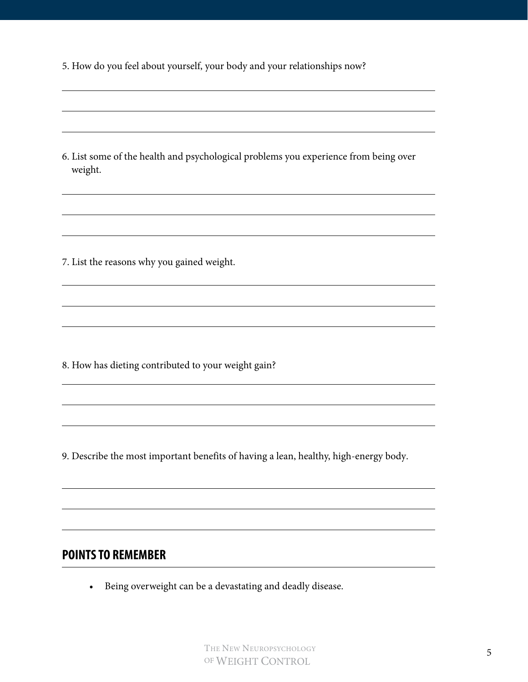| 5. How do you feel about yourself, your body and your relationships now? |  |
|--------------------------------------------------------------------------|--|
|--------------------------------------------------------------------------|--|

6. List some of the health and psychological problems you experience from being over weight.

7. List the reasons why you gained weight.

8. How has dieting contributed to your weight gain?

9. Describe the most important benefits of having a lean, healthy, high-energy body.

### **POINTS TO REMEMBER**

• Being overweight can be a devastating and deadly disease.